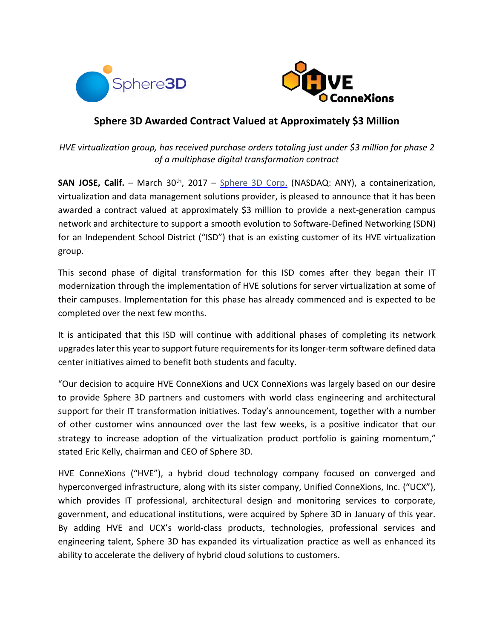



## **Sphere 3D Awarded Contract Valued at Approximately \$3 Million**

*HVE virtualization group, has received purchase orders totaling just under \$3 million for phase 2 of a multiphase digital transformation contract*

**SAN JOSE, Calif.** – March 30<sup>th</sup>, 2017 – [Sphere 3D Corp.](http://www.sphere3d.com/) (NASDAQ: ANY), a containerization, virtualization and data management solutions provider, is pleased to announce that it has been awarded a contract valued at approximately \$3 million to provide a next-generation campus network and architecture to support a smooth evolution to Software-Defined Networking (SDN) for an Independent School District ("ISD") that is an existing customer of its HVE virtualization group.

This second phase of digital transformation for this ISD comes after they began their IT modernization through the implementation of HVE solutions for server virtualization at some of their campuses. Implementation for this phase has already commenced and is expected to be completed over the next few months.

It is anticipated that this ISD will continue with additional phases of completing its network upgrades later this year to support future requirements for its longer-term software defined data center initiatives aimed to benefit both students and faculty.

"Our decision to acquire HVE ConneXions and UCX ConneXions was largely based on our desire to provide Sphere 3D partners and customers with world class engineering and architectural support for their IT transformation initiatives. Today's announcement, together with a number of other customer wins announced over the last few weeks, is a positive indicator that our strategy to increase adoption of the virtualization product portfolio is gaining momentum," stated Eric Kelly, chairman and CEO of Sphere 3D.

HVE ConneXions ("HVE"), a hybrid cloud technology company focused on converged and hyperconverged infrastructure, along with its sister company, Unified ConneXions, Inc. ("UCX"), which provides IT professional, architectural design and monitoring services to corporate, government, and educational institutions, were acquired by Sphere 3D in January of this year. By adding HVE and UCX's world-class products, technologies, professional services and engineering talent, Sphere 3D has expanded its virtualization practice as well as enhanced its ability to accelerate the delivery of hybrid cloud solutions to customers.